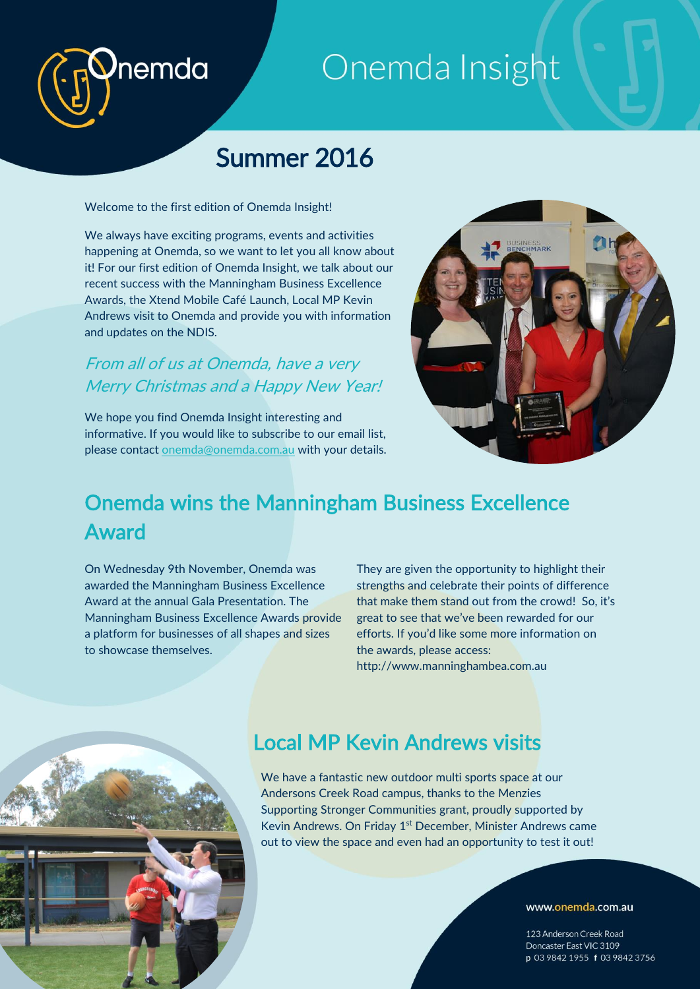# Onemda Insight

## Summer 2016

Welcome to the first edition of Onemda Insight!

nemda

We always have exciting programs, events and activities happening at Onemda, so we want to let you all know about it! For our first edition of Onemda Insight, we talk about our recent success with the Manningham Business Excellence Awards, the Xtend Mobile Café Launch, Local MP Kevin Andrews visit to Onemda and provide you with information and updates on the NDIS.

### From all of us at Onemda, have a very Merry Christmas and a Happy New Year!

We hope you find Onemda Insight interesting and informative. If you would like to subscribe to our email list, please contact [onemda@onemda.com.au](mailto:onemda@onemda.com.au) with your details.



### Onemda wins the Manningham Business Excellence Award

On Wednesday 9th November, Onemda was awarded the Manningham Business Excellence Award at the annual Gala Presentation. The Manningham Business Excellence Awards provide a platform for businesses of all shapes and sizes to showcase themselves.

They are given the opportunity to highlight their strengths and celebrate their points of difference that make them stand out from the crowd! So, it's great to see that we've been rewarded for our efforts. If you'd like some more information on the awards, please access: http://www.manninghambea.com.au



### Local MP Kevin Andrews visits

We have a fantastic new outdoor multi sports space at our Andersons Creek Road campus, thanks to the Menzies Supporting Stronger Communities grant, proudly supported by Kevin Andrews. On Friday 1<sup>st</sup> December, Minister Andrews came out to view the space and even had an opportunity to test it out!

#### www.onemda.com.au

123 Anderson Creek Road Doncaster East VIC 3109 p 03 9842 1955 f 03 9842 3756